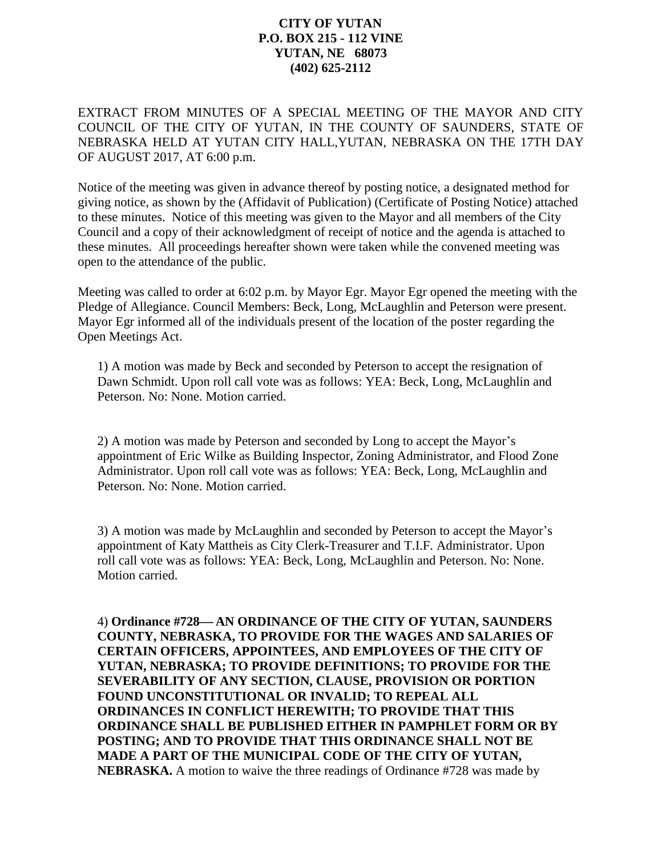## **CITY OF YUTAN P.O. BOX 215 - 112 VINE YUTAN, NE 68073 (402) 625-2112**

EXTRACT FROM MINUTES OF A SPECIAL MEETING OF THE MAYOR AND CITY COUNCIL OF THE CITY OF YUTAN, IN THE COUNTY OF SAUNDERS, STATE OF NEBRASKA HELD AT YUTAN CITY HALL,YUTAN, NEBRASKA ON THE 17TH DAY OF AUGUST 2017, AT 6:00 p.m.

Notice of the meeting was given in advance thereof by posting notice, a designated method for giving notice, as shown by the (Affidavit of Publication) (Certificate of Posting Notice) attached to these minutes. Notice of this meeting was given to the Mayor and all members of the City Council and a copy of their acknowledgment of receipt of notice and the agenda is attached to these minutes. All proceedings hereafter shown were taken while the convened meeting was open to the attendance of the public.

Meeting was called to order at 6:02 p.m. by Mayor Egr. Mayor Egr opened the meeting with the Pledge of Allegiance. Council Members: Beck, Long, McLaughlin and Peterson were present. Mayor Egr informed all of the individuals present of the location of the poster regarding the Open Meetings Act.

1) A motion was made by Beck and seconded by Peterson to accept the resignation of Dawn Schmidt. Upon roll call vote was as follows: YEA: Beck, Long, McLaughlin and Peterson. No: None. Motion carried.

2) A motion was made by Peterson and seconded by Long to accept the Mayor's appointment of Eric Wilke as Building Inspector, Zoning Administrator, and Flood Zone Administrator. Upon roll call vote was as follows: YEA: Beck, Long, McLaughlin and Peterson. No: None. Motion carried.

3) A motion was made by McLaughlin and seconded by Peterson to accept the Mayor's appointment of Katy Mattheis as City Clerk-Treasurer and T.I.F. Administrator. Upon roll call vote was as follows: YEA: Beck, Long, McLaughlin and Peterson. No: None. Motion carried.

4) **Ordinance #728 AN ORDINANCE OF THE CITY OF YUTAN, SAUNDERS COUNTY, NEBRASKA, TO PROVIDE FOR THE WAGES AND SALARIES OF CERTAIN OFFICERS, APPOINTEES, AND EMPLOYEES OF THE CITY OF YUTAN, NEBRASKA; TO PROVIDE DEFINITIONS; TO PROVIDE FOR THE SEVERABILITY OF ANY SECTION, CLAUSE, PROVISION OR PORTION FOUND UNCONSTITUTIONAL OR INVALID; TO REPEAL ALL ORDINANCES IN CONFLICT HEREWITH; TO PROVIDE THAT THIS ORDINANCE SHALL BE PUBLISHED EITHER IN PAMPHLET FORM OR BY POSTING; AND TO PROVIDE THAT THIS ORDINANCE SHALL NOT BE MADE A PART OF THE MUNICIPAL CODE OF THE CITY OF YUTAN, NEBRASKA.** A motion to waive the three readings of Ordinance #728 was made by